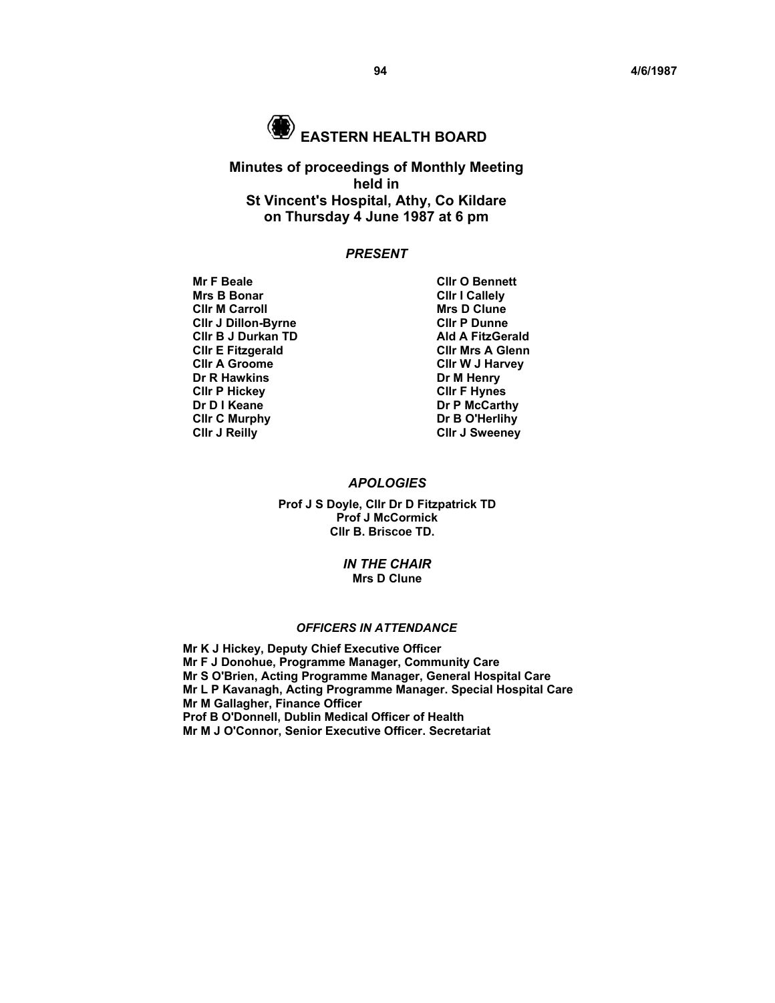

# **EASTERN HEALTH BOARD**

# **Minutes of proceedings of Monthly Meeting held in St Vincent's Hospital, Athy, Co Kildare on Thursday 4 June 1987 at 6 pm**

## *PRESENT*

- **Mr F Beale Cllr O Bennett** Mrs B Bonar **Clir I Callely**<br>Clir M Carroll **Clir I Callely** Clir M Clune **Clir M Carroll Community Communist Clir Microsoft Clir P Dunne**<br>
Clir J Dillon-Byrne **Microsoft Clir P Dunne CIIr J Dillon-Byrne CLIR P Dunne CIIr P Dunne CIIr B J Durkan TD Cllr B J Durkan TD Cllr E Fitzgerald Cllr A Groome Cllr W J Harvey Dr R Hawkins Dr M Henry Cllr P Hickey Cllr F Hynes Clir C Murphy Dr B O'Herlihy Clir J Reilly Clir J Sweeney** 
	- **Cllr Mrs A Glenn Dr P McCarthy**

## *APOLOGIES*

**Prof J S Doyle, Cllr Dr D Fitzpatrick TD Prof J McCormick Cllr B. Briscoe TD.** 

> *IN THE CHAIR*  **Mrs D Clune**

# *OFFICERS IN ATTENDANCE*

**Mr K J Hickey, Deputy Chief Executive Officer Mr F J Donohue, Programme Manager, Community Care Mr S O'Brien, Acting Programme Manager, General Hospital Care Mr L P Kavanagh, Acting Programme Manager. Special Hospital Care Mr M Gallagher, Finance Officer Prof B O'Donnell, Dublin Medical Officer of Health Mr M J O'Connor, Senior Executive Officer. Secretariat**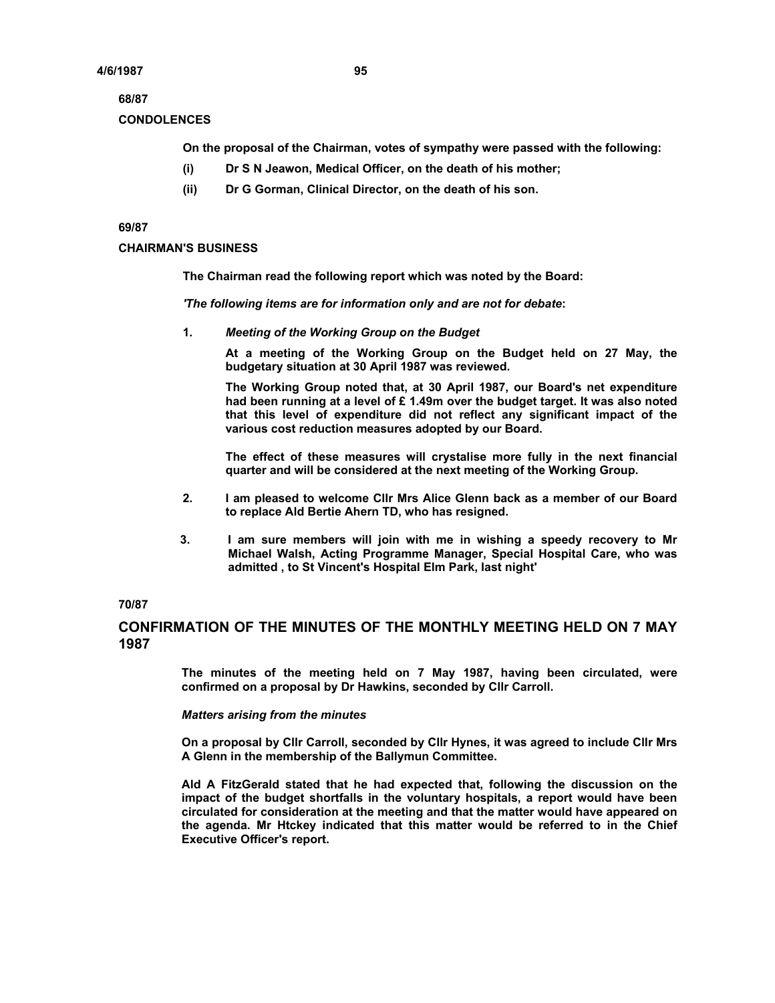## **68/87**

## **CONDOLENCES**

**On the proposal of the Chairman, votes of sympathy were passed with the following:** 

- **(i) Dr S N Jeawon, Medical Officer, on the death of his mother;**
- **(ii) Dr G Gorman, Clinical Director, on the death of his son.**

### **69/87**

## **CHAIRMAN'S BUSINESS**

**The Chairman read the following report which was noted by the Board:** 

*'The following items are for information only and are not for debate***:** 

**1.** *Meeting of the Working Group on the Budget* 

**At a meeting of the Working Group on the Budget held on 27 May, the budgetary situation at 30 April 1987 was reviewed.** 

**The Working Group noted that, at 30 April 1987, our Board's net expenditure had been running at a level of £ 1.49m over the budget target. It was also noted that this level of expenditure did not reflect any significant impact of the various cost reduction measures adopted by our Board.** 

**The effect of these measures will crystalise more fully in the next financial quarter and will be considered at the next meeting of the Working Group.** 

- **2. I am pleased to welcome Cllr Mrs Alice Glenn back as a member of our Board to replace Ald Bertie Ahern TD, who has resigned.**
- **3. I am sure members will join with me in wishing a speedy recovery to Mr Michael Walsh, Acting Programme Manager, Special Hospital Care, who was admitted , to St Vincent's Hospital Elm Park, last night'**

## **70/87**

# **CONFIRMATION OF THE MINUTES OF THE MONTHLY MEETING HELD ON 7 MAY 1987**

**The minutes of the meeting held on 7 May 1987, having been circulated, were confirmed on a proposal by Dr Hawkins, seconded by Cllr Carroll.** 

#### *Matters arising from the minutes*

**On a proposal by Cllr Carroll, seconded by Cllr Hynes, it was agreed to include Cllr Mrs A Glenn in the membership of the Ballymun Committee.** 

**Ald A FitzGerald stated that he had expected that, following the discussion on the impact of the budget shortfalls in the voluntary hospitals, a report would have been circulated for consideration at the meeting and that the matter would have appeared on the agenda. Mr Htckey indicated that this matter would be referred to in the Chief Executive Officer's report.**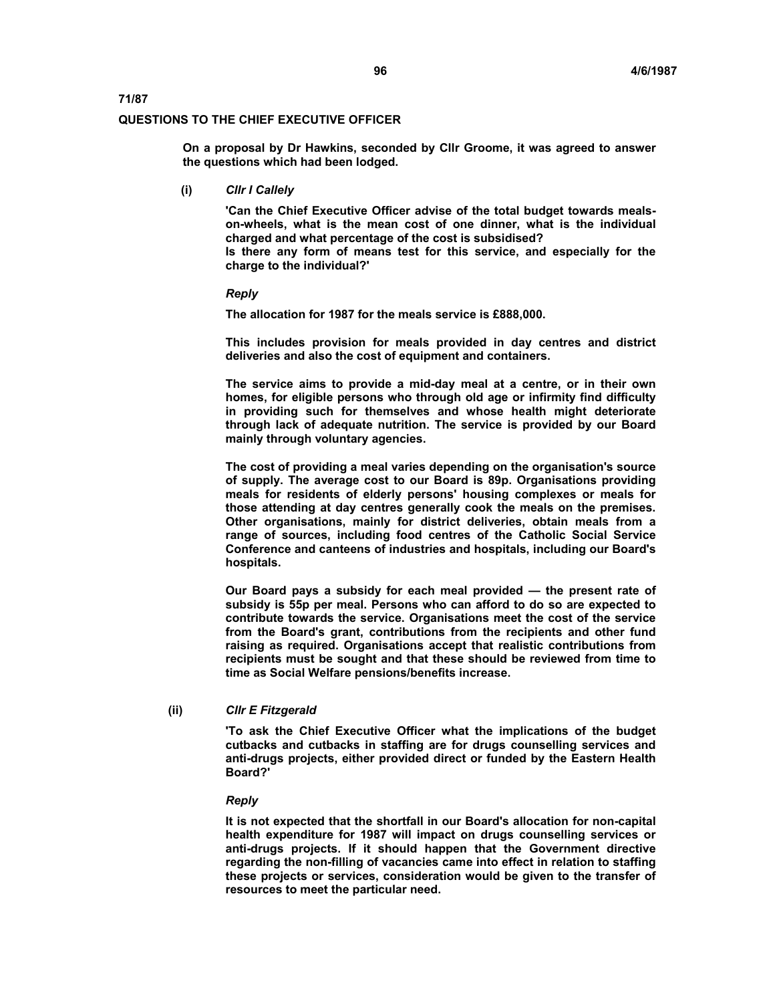#### **QUESTIONS TO THE CHIEF EXECUTIVE OFFICER**

**On a proposal by Dr Hawkins, seconded by Cllr Groome, it was agreed to answer the questions which had been lodged.** 

**(i)** *Cllr I Callely* 

**'Can the Chief Executive Officer advise of the total budget towards mealson-wheels, what is the mean cost of one dinner, what is the individual charged and what percentage of the cost is subsidised? Is there any form of means test for this service, and especially for the charge to the individual?'** 

*Reply* 

**The allocation for 1987 for the meals service is £888,000.** 

**This includes provision for meals provided in day centres and district deliveries and also the cost of equipment and containers.** 

**The service aims to provide a mid-day meal at a centre, or in their own homes, for eligible persons who through old age or infirmity find difficulty in providing such for themselves and whose health might deteriorate through lack of adequate nutrition. The service is provided by our Board mainly through voluntary agencies.** 

**The cost of providing a meal varies depending on the organisation's source of supply. The average cost to our Board is 89p. Organisations providing meals for residents of elderly persons' housing complexes or meals for those attending at day centres generally cook the meals on the premises. Other organisations, mainly for district deliveries, obtain meals from a range of sources, including food centres of the Catholic Social Service Conference and canteens of industries and hospitals, including our Board's hospitals.** 

**Our Board pays a subsidy for each meal provided — the present rate of subsidy is 55p per meal. Persons who can afford to do so are expected to contribute towards the service. Organisations meet the cost of the service from the Board's grant, contributions from the recipients and other fund raising as required. Organisations accept that realistic contributions from recipients must be sought and that these should be reviewed from time to time as Social Welfare pensions/benefits increase.** 

**(ii)** *Cllr E Fitzgerald*

**'To ask the Chief Executive Officer what the implications of the budget cutbacks and cutbacks in staffing are for drugs counselling services and anti-drugs projects, either provided direct or funded by the Eastern Health Board?'**

#### *Reply*

**It is not expected that the shortfall in our Board's allocation for non-capital health expenditure for 1987 will impact on drugs counselling services or anti-drugs projects. If it should happen that the Government directive regarding the non-filling of vacancies came into effect in relation to staffing these projects or services, consideration would be given to the transfer of resources to meet the particular need.**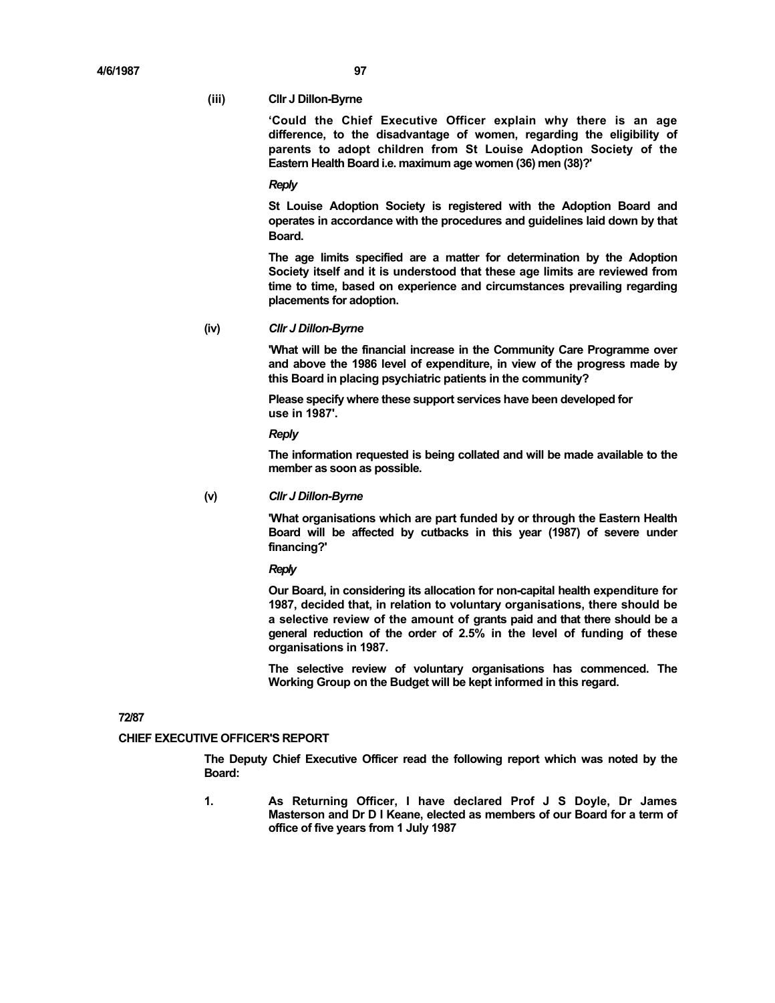#### **(iii) Cllr J Dillon-Byrne**

**'Could the Chief Executive Officer explain why there is an age difference, to the disadvantage of women, regarding the eligibility of parents to adopt children from St Louise Adoption Society of the Eastern Health Board i.e. maximum age women (36) men (38)?'** 

#### *Reply*

**St Louise Adoption Society is registered with the Adoption Board and operates in accordance with the procedures and guidelines laid down by that Board.** 

**The age limits specified are a matter for determination by the Adoption Society itself and it is understood that these age limits are reviewed from time to time, based on experience and circumstances prevailing regarding placements for adoption.** 

## **(iv)** *Cllr J Dillon-Byrne*

**'What will be the financial increase in the Community Care Programme over and above the 1986 level of expenditure, in view of the progress made by this Board in placing psychiatric patients in the community?** 

**Please specify where these support services have been developed for use in 1987'.** 

*Reply* 

**The information requested is being collated and will be made available to the member as soon as possible.** 

## **(v)** *Cllr J Dillon-Byrne*

**'What organisations which are part funded by or through the Eastern Health Board will be affected by cutbacks in this year (1987) of severe under financing?'** 

*Reply* 

**Our Board, in considering its allocation for non-capital health expenditure for 1987, decided that, in relation to voluntary organisations, there should be a selective review of the amount of grants paid and that there should be a general reduction of the order of 2.5% in the level of funding of these organisations in 1987.** 

**The selective review of voluntary organisations has commenced. The Working Group on the Budget will be kept informed in this regard.** 

## **72/87**

## **CHIEF EXECUTIVE OFFICER'S REPORT**

**The Deputy Chief Executive Officer read the following report which was noted by the Board:** 

**1. As Returning Officer, I have declared Prof J S Doyle, Dr James Masterson and Dr D I Keane, elected as members of our Board for a term of office of five years from 1 July 1987**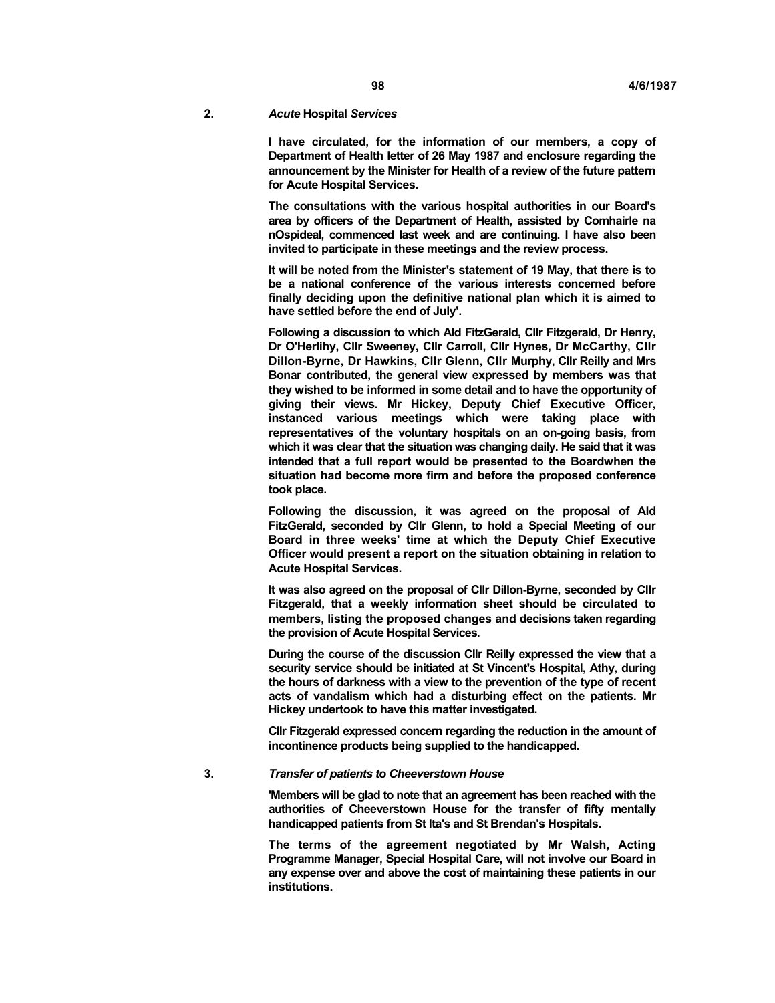## **2.** *Acute* **Hospital** *Services*

**I have circulated, for the information of our members, a copy of Department of Health letter of 26 May 1987 and enclosure regarding the announcement by the Minister for Health of a review of the future pattern for Acute Hospital Services.** 

**The consultations with the various hospital authorities in our Board's area by officers of the Department of Health, assisted by Comhairle na nOspideal, commenced last week and are continuing. I have also been invited to participate in these meetings and the review process.** 

**It will be noted from the Minister's statement of 19 May, that there is to be a national conference of the various interests concerned before finally deciding upon the definitive national plan which it is aimed to have settled before the end of July'.** 

**Following a discussion to which Ald FitzGerald, Cllr Fitzgerald, Dr Henry, Dr O'Herlihy, Cllr Sweeney, Cllr Carroll, Cllr Hynes, Dr McCarthy, Cllr Dillon-Byrne, Dr Hawkins, Cllr Glenn, Cllr Murphy, Cllr Reilly and Mrs Bonar contributed, the general view expressed by members was that they wished to be informed in some detail and to have the opportunity of giving their views. Mr Hickey, Deputy Chief Executive Officer, instanced various meetings which were taking place with representatives of the voluntary hospitals on an on-going basis, from which it was clear that the situation was changing daily. He said that it was intended that a full report would be presented to the Boardwhen the situation had become more firm and before the proposed conference took place.** 

**Following the discussion, it was agreed on the proposal of Ald FitzGerald, seconded by Cllr Glenn, to hold a Special Meeting of our Board in three weeks' time at which the Deputy Chief Executive Officer would present a report on the situation obtaining in relation to Acute Hospital Services.** 

**It was also agreed on the proposal of Cllr Dillon-Byrne, seconded by Cllr Fitzgerald, that a weekly information sheet should be circulated to members, listing the proposed changes and decisions taken regarding the provision of Acute Hospital Services.** 

**During the course of the discussion Cllr Reilly expressed the view that a security service should be initiated at St Vincent's Hospital, Athy, during the hours of darkness with a view to the prevention of the type of recent acts of vandalism which had a disturbing effect on the patients. Mr Hickey undertook to have this matter investigated.** 

**Cllr Fitzgerald expressed concern regarding the reduction in the amount of incontinence products being supplied to the handicapped.** 

## **3.** *Transfer of patients to Cheeverstown House*

**'Members will be glad to note that an agreement has been reached with the authorities of Cheeverstown House for the transfer of fifty mentally handicapped patients from St Ita's and St Brendan's Hospitals.** 

**The terms of the agreement negotiated by Mr Walsh, Acting Programme Manager, Special Hospital Care, will not involve our Board in any expense over and above the cost of maintaining these patients in our institutions.**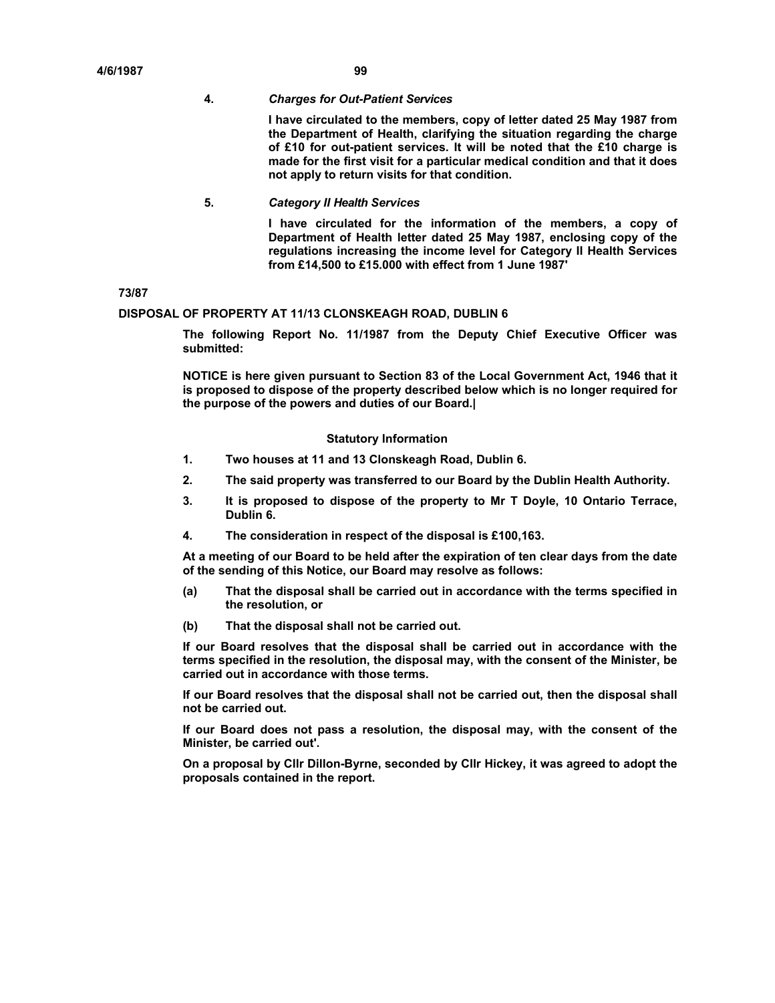#### **4.** *Charges for Out-Patient Services*

**I have circulated to the members, copy of letter dated 25 May 1987 from the Department of Health, clarifying the situation regarding the charge of £10 for out-patient services. It will be noted that the £10 charge is made for the first visit for a particular medical condition and that it does not apply to return visits for that condition.** 

**5.** *Category II Health Services* 

**I have circulated for the information of the members, a copy of Department of Health letter dated 25 May 1987, enclosing copy of the regulations increasing the income level for Category II Health Services from £14,500 to £15.000 with effect from 1 June 1987'** 

**73/87** 

## **DISPOSAL OF PROPERTY AT 11/13 CLONSKEAGH ROAD, DUBLIN 6**

**The following Report No. 11/1987 from the Deputy Chief Executive Officer was submitted:** 

**NOTICE is here given pursuant to Section 83 of the Local Government Act, 1946 that it is proposed to dispose of the property described below which is no longer required for the purpose of the powers and duties of our Board.|** 

## **Statutory Information**

- **1. Two houses at 11 and 13 Clonskeagh Road, Dublin 6.**
- **2. The said property was transferred to our Board by the Dublin Health Authority.**
- **3. It is proposed to dispose of the property to Mr T Doyle, 10 Ontario Terrace, Dublin 6.**
- **4. The consideration in respect of the disposal is £100,163.**

**At a meeting of our Board to be held after the expiration of ten clear days from the date of the sending of this Notice, our Board may resolve as follows:** 

- **(a) That the disposal shall be carried out in accordance with the terms specified in the resolution, or**
- **(b) That the disposal shall not be carried out.**

**If our Board resolves that the disposal shall be carried out in accordance with the terms specified in the resolution, the disposal may, with the consent of the Minister, be carried out in accordance with those terms.** 

**If our Board resolves that the disposal shall not be carried out, then the disposal shall not be carried out.** 

**If our Board does not pass a resolution, the disposal may, with the consent of the Minister, be carried out'.** 

**On a proposal by Cllr Dillon-Byrne, seconded by Cllr Hickey, it was agreed to adopt the proposals contained in the report.**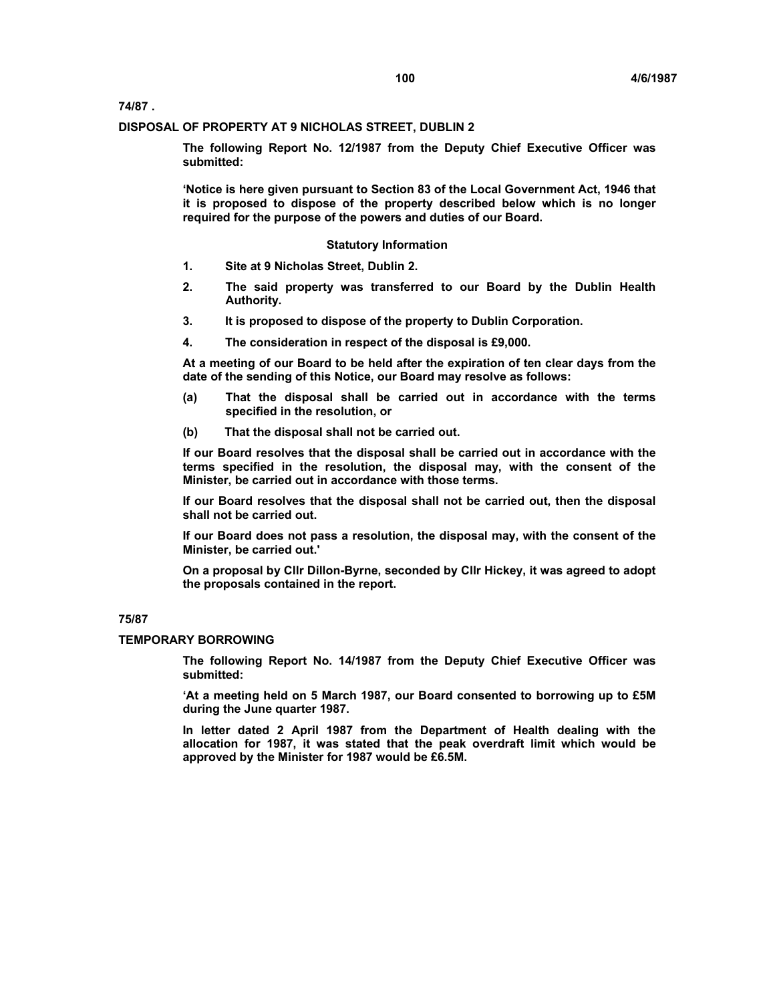**74/87 .** 

#### **DISPOSAL OF PROPERTY AT 9 NICHOLAS STREET, DUBLIN 2**

**The following Report No. 12/1987 from the Deputy Chief Executive Officer was submitted:** 

**'Notice is here given pursuant to Section 83 of the Local Government Act, 1946 that it is proposed to dispose of the property described below which is no longer required for the purpose of the powers and duties of our Board.** 

## **Statutory Information**

- **1. Site at 9 Nicholas Street, Dublin 2.**
- **2. The said property was transferred to our Board by the Dublin Health Authority.**
- **3. It is proposed to dispose of the property to Dublin Corporation.**
- **4. The consideration in respect of the disposal is £9,000.**

**At a meeting of our Board to be held after the expiration of ten clear days from the date of the sending of this Notice, our Board may resolve as follows:** 

- **(a) That the disposal shall be carried out in accordance with the terms specified in the resolution, or**
- **(b) That the disposal shall not be carried out.**

**If our Board resolves that the disposal shall be carried out in accordance with the terms specified in the resolution, the disposal may, with the consent of the Minister, be carried out in accordance with those terms.** 

**If our Board resolves that the disposal shall not be carried out, then the disposal shall not be carried out.** 

**If our Board does not pass a resolution, the disposal may, with the consent of the Minister, be carried out.'** 

**On a proposal by Cllr Dillon-Byrne, seconded by Cllr Hickey, it was agreed to adopt the proposals contained in the report.** 

## **75/87**

## **TEMPORARY BORROWING**

**The following Report No. 14/1987 from the Deputy Chief Executive Officer was submitted:** 

**'At a meeting held on 5 March 1987, our Board consented to borrowing up to £5M during the June quarter 1987.** 

**In letter dated 2 April 1987 from the Department of Health dealing with the allocation for 1987, it was stated that the peak overdraft limit which would be approved by the Minister for 1987 would be £6.5M.**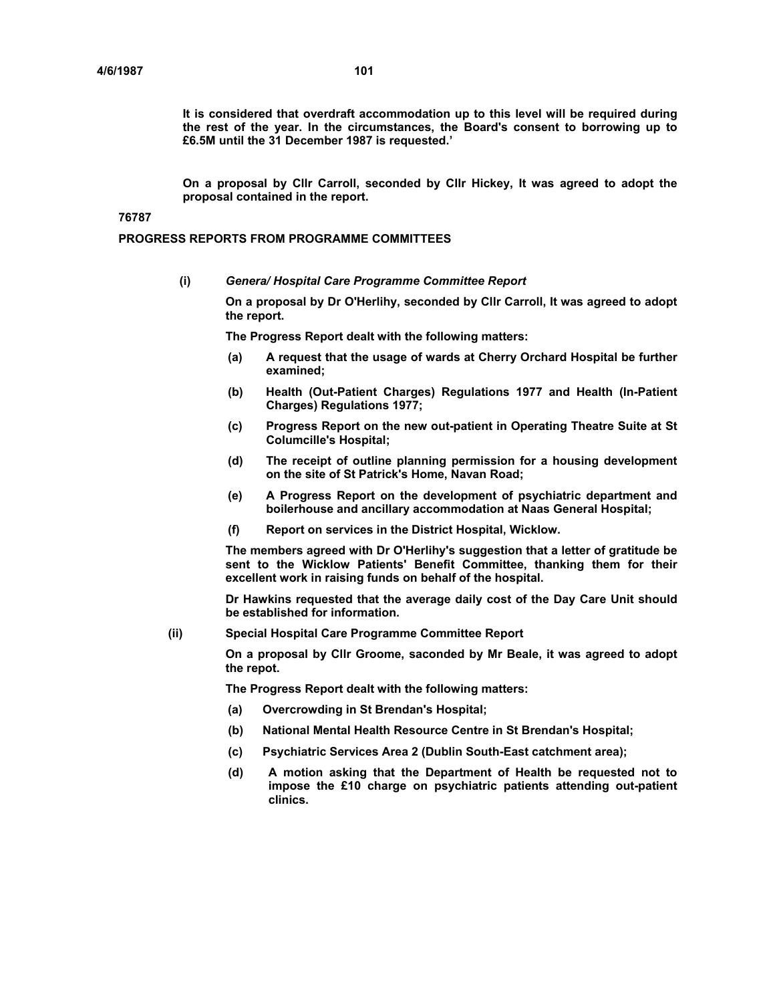**It is considered that overdraft accommodation up to this level will be required during the rest of the year. In the circumstances, the Board's consent to borrowing up to £6.5M until the 31 December 1987 is requested.'** 

**On a proposal by Cllr Carroll, seconded by Cllr Hickey, It was agreed to adopt the proposal contained in the report.** 

## **76787**

## **PROGRESS REPORTS FROM PROGRAMME COMMITTEES**

**(i)** *Genera/ Hospital Care Programme Committee Report* 

**On a proposal by Dr O'Herlihy, seconded by Cllr Carroll, It was agreed to adopt the report.** 

**The Progress Report dealt with the following matters:** 

- **(a) A request that the usage of wards at Cherry Orchard Hospital be further examined;**
- **(b) Health (Out-Patient Charges) Regulations 1977 and Health (In-Patient Charges) Regulations 1977;**
- **(c) Progress Report on the new out-patient in Operating Theatre Suite at St Columcille's Hospital;**
- **(d) The receipt of outline planning permission for a housing development on the site of St Patrick's Home, Navan Road;**
- **(e) A Progress Report on the development of psychiatric department and boilerhouse and ancillary accommodation at Naas General Hospital;**
- **(f) Report on services in the District Hospital, Wicklow.**

**The members agreed with Dr O'Herlihy's suggestion that a letter of gratitude be sent to the Wicklow Patients' Benefit Committee, thanking them for their excellent work in raising funds on behalf of the hospital.** 

**Dr Hawkins requested that the average daily cost of the Day Care Unit should be established for information.** 

**(ii) Special Hospital Care Programme Committee Report** 

**On a proposal by Cllr Groome, saconded by Mr Beale, it was agreed to adopt the repot.** 

**The Progress Report dealt with the following matters:** 

- **(a) Overcrowding in St Brendan's Hospital;**
- **(b) National Mental Health Resource Centre in St Brendan's Hospital;**
- **(c) Psychiatric Services Area 2 (Dublin South-East catchment area);**
- **(d) A motion asking that the Department of Health be requested not to impose the £10 charge on psychiatric patients attending out-patient clinics.**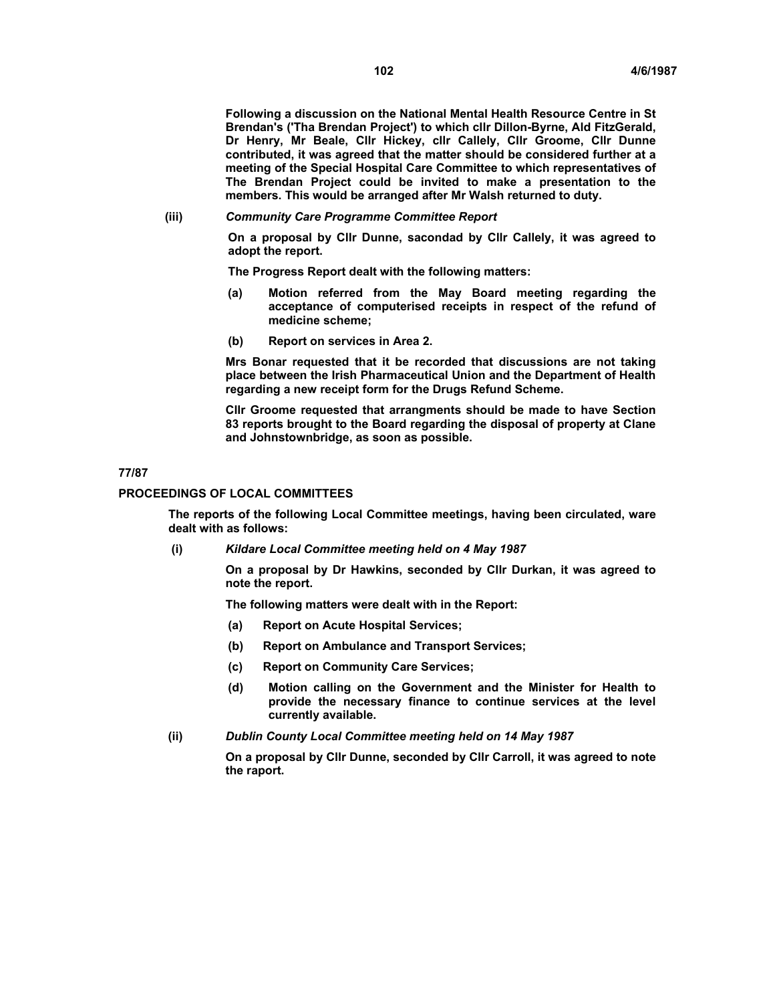**Following a discussion on the National Mental Health Resource Centre in St Brendan's ('Tha Brendan Project') to which cllr Dillon-Byrne, Ald FitzGerald, Dr Henry, Mr Beale, Cllr Hickey, cllr Callely, Cllr Groome, Cllr Dunne contributed, it was agreed that the matter should be considered further at a meeting of the Special Hospital Care Committee to which representatives of The Brendan Project could be invited to make a presentation to the members. This would be arranged after Mr Walsh returned to duty.** 

#### **(iii)** *Community Care Programme Committee Report*

**On a proposal by Cllr Dunne, sacondad by Cllr Callely, it was agreed to adopt the report.** 

**The Progress Report dealt with the following matters:** 

- **(a) Motion referred from the May Board meeting regarding the acceptance of computerised receipts in respect of the refund of medicine scheme;**
- **(b) Report on services in Area 2.**

**Mrs Bonar requested that it be recorded that discussions are not taking place between the Irish Pharmaceutical Union and the Department of Health regarding a new receipt form for the Drugs Refund Scheme.** 

**Cllr Groome requested that arrangments should be made to have Section 83 reports brought to the Board regarding the disposal of property at Clane and Johnstownbridge, as soon as possible.** 

#### **77/87**

#### **PROCEEDINGS OF LOCAL COMMITTEES**

**The reports of the following Local Committee meetings, having been circulated, ware dealt with as follows:** 

**(i)** *Kildare Local Committee meeting held on 4 May 1987* 

**On a proposal by Dr Hawkins, seconded by Cllr Durkan, it was agreed to note the report.** 

**The following matters were dealt with in the Report:** 

- **(a) Report on Acute Hospital Services;**
- **(b) Report on Ambulance and Transport Services;**
- **(c) Report on Community Care Services;**
- **(d) Motion calling on the Government and the Minister for Health to provide the necessary finance to continue services at the level currently available.**
- **(ii)** *Dublin County Local Committee meeting held on 14 May 1987*

**On a proposal by Cllr Dunne, seconded by Cllr Carroll, it was agreed to note the raport.**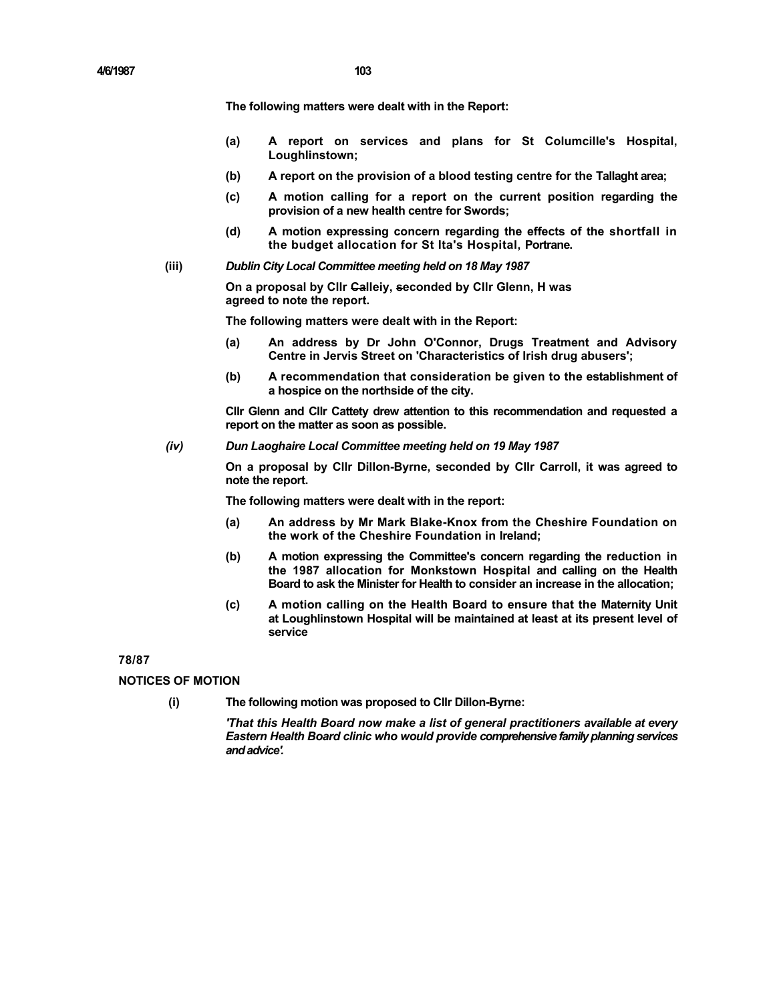**The following matters were dealt with in the Report:** 

- **(a) A report on services and plans for St Columcille's Hospital, Loughlinstown;**
- **(b) A report on the provision of a blood testing centre for the Tallaght area;**
- **(c) A motion calling for a report on the current position regarding the provision of a new health centre for Swords;**
- **(d) A motion expressing concern regarding the effects of the shortfall in the budget allocation for St Ita's Hospital, Portrane.**
- **(iii)** *Dublin City Local Committee meeting held on 18 May 1987*

**On a proposal by Cllr Calleiy, seconded by Cllr Glenn, H was agreed to note the report.** 

**The following matters were dealt with in the Report:** 

- **(a) An address by Dr John O'Connor, Drugs Treatment and Advisory Centre in Jervis Street on 'Characteristics of Irish drug abusers';**
- **(b) A recommendation that consideration be given to the establishment of a hospice on the northside of the city.**

**Cllr Glenn and Cllr Cattety drew attention to this recommendation and requested a report on the matter as soon as possible.** 

*(iv) Dun Laoghaire Local Committee meeting held on 19 May 1987* 

**On a proposal by Cllr Dillon-Byrne, seconded by Cllr Carroll, it was agreed to note the report.** 

**The following matters were dealt with in the report:** 

- **(a) An address by Mr Mark Blake-Knox from the Cheshire Foundation on the work of the Cheshire Foundation in Ireland;**
- **(b) A motion expressing the Committee's concern regarding the reduction in the 1987 allocation for Monkstown Hospital and calling on the Health Board to ask the Minister for Health to consider an increase in the allocation;**
- **(c) A motion calling on the Health Board to ensure that the Maternity Unit at Loughlinstown Hospital will be maintained at least at its present level of service**

## **78/87**

## **NOTICES OF MOTION**

**(i) The following motion was proposed to Cllr Dillon-Byrne:** 

*'That this Health Board now make a list of general practitioners available at every Eastern Health Board clinic who would provide comprehensive family planning services and advice'.*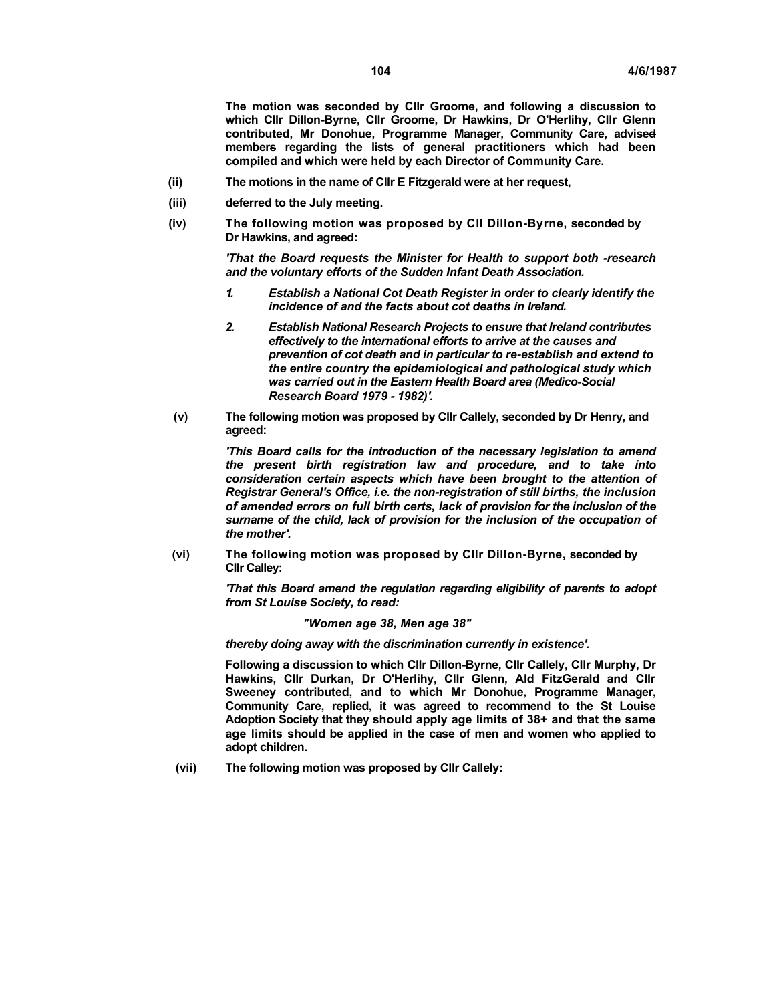**The motion was seconded by Cllr Groome, and following a discussion to which Cllr Dillon-Byrne, Cllr Groome, Dr Hawkins, Dr O'Herlihy, Cllr Glenn contributed, Mr Donohue, Programme Manager, Community Care, advised members regarding the lists of general practitioners which had been compiled and which were held by each Director of Community Care.** 

- **(ii) The motions in the name of Cllr E Fitzgerald were at her request,**
- **(iii) deferred to the July meeting.**
- **(iv) The following motion was proposed by Cll Dillon-Byrne, seconded by Dr Hawkins, and agreed:**

*'That the Board requests the Minister for Health to support both -research and the voluntary efforts of the Sudden Infant Death Association.*

- *1. Establish a National Cot Death Register in order to clearly identify the incidence of and the facts about cot deaths in Ireland.*
- *2. Establish National Research Projects to ensure that Ireland contributes effectively to the international efforts to arrive at the causes and prevention of cot death and in particular to re-establish and extend to the entire country the epidemiological and pathological study which was carried out in the Eastern Health Board area (Medico-Social Research Board 1979 - 1982)'.*
- **(v) The following motion was proposed by Cllr Callely, seconded by Dr Henry, and agreed:**

*'This Board calls for the introduction of the necessary legislation to amend the present birth registration law and procedure, and to take into consideration certain aspects which have been brought to the attention of Registrar General's Office, i.e. the non-registration of still births, the inclusion of amended errors on full birth certs, lack of provision for the inclusion of the surname of the child, lack of provision for the inclusion of the occupation of the mother'.*

**(vi) The following motion was proposed by Cllr Dillon-Byrne, seconded by Cllr Calley:** 

> *'That this Board amend the regulation regarding eligibility of parents to adopt from St Louise Society, to read:*

> > *"Women age 38, Men age 38"*

*thereby doing away with the discrimination currently in existence'.*

**Following a discussion to which Cllr Dillon-Byrne, Cllr Callely, Cllr Murphy, Dr Hawkins, Cllr Durkan, Dr O'Herlihy, Cllr Glenn, Ald FitzGerald and Cllr Sweeney contributed, and to which Mr Donohue, Programme Manager, Community Care, replied, it was agreed to recommend to the St Louise Adoption Society that they should apply age limits of 38+ and that the same age limits should be applied in the case of men and women who applied to adopt children.** 

**(vii) The following motion was proposed by Cllr Callely:**